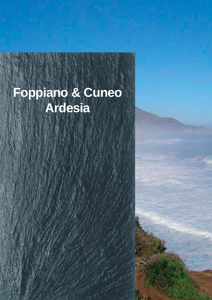# **Foppiano & Cuneo Ardesia**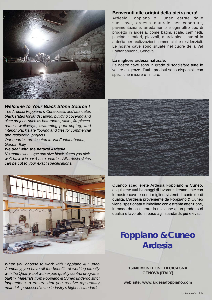

### *Welcome to Your Black Stone Source !*

*The Ardesia Foppiano & Cuneo sells and fabricates black slates for landscaping, building covering and slate projects such as bathrooms, stairs, fireplaces, patios, walkways, swimming pool coping, and interior black slate flooring and tiles for commercial and residential projects.*

*Our quarries are located in Val Fontanabuona, Genoa, Italy.*

#### *We deal with the natural Ardesia.*

*No matter what type and size black slates you pick, we'll have it in our 4-acre quarries. All ardesia slates can be cut to your exact specifications.*



*When you choose to work with Foppiano & Cuneo Company, you have all the benefits of working directly with the Quarry, but with expert quality control programs built in. Materials from Foppiano & Cuneo undergo strict inspections to ensure that you receive top quality materials processed to the industry's highest standards.*

### **Benvenuti alle origini della pietra nera!**

Ardesia Foppiano & Cuneo estrae dalle sue cave, ardesia naturale per coperture, pavimentazione, arredamento e ogni altro tipo di progetto in ardesia, come bagni, scale, caminetti, piscine, sentieri, piazzali, marciapiedi, interni in ardesia per realizzazioni commerciali e residenziali. Le nostre cave sono situate nel cuore della Val Fontanabuona, Genova.

#### **La migliore ardesia naturale.**

Le nostre cave sono in grado di soddisfare tutte le vostre esigenze. Tutti i prodotti sono disponibili con specifiche misure e finiture.



Quando sceglierete Ardesia Foppiano & Cuneo, acquisirete tutti i vantaggi di lavorare direttamente con le nostre cave e con i migliori sistemi di controllo di qualità. L'ardesia proveniente da Foppiano & Cuneo viene ispezionata e imballata con estrema attenzione, in modo da assicurare la ricezione di un prodotto di qualità e lavorato in base agli standards più elevati.

## **Foppiano & Cuneo Ardesia**

**16040 MONLEONE DI CICAGNA GENOVA (ITALY)**

**web site: www.ardesiafoppiano.com**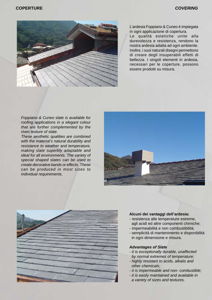

L'ardesia Foppiano & Cuneo è impiegata in ogni applicazione di copertura.

Le qualità estetiche unite alla durevolezza e resistenza, rendono la nostra ardesia adatta ad ogni ambiente. Inoltre, i suoi naturali disegni permettono di creare degli insuperabili effetti di bellezza. I singoli elementi in ardesia, necessari per le coperture, possono essere prodotti su misura.

*Foppiano & Cuneo slate is available for roofing applications in a elegant colour that are further complemented by the riven texture of slate.*

*These aesthetic qualities are combined with the material's natural durability and resistance to weather and temperature, making slate superbly adaptable and ideal for all environments. The variety of special shaped slates can be used to create decorative bands or effects. These can be produced in most sizes to individual requirements.*





#### **Alcuni dei vantaggi dell'ardesia:**

- resistenza alle temperature estreme, agli acidi ed altre componenti chimiche;
- impermeabilità e non combustibilità;
- semplicità di mantenimento e disponibilità in ogni dimensione e misura.

#### *Advantages of Slate*

- *it is exceptionally durable, unaffected by normal extremes of temperature;*
- *highly resistant to acids, alkalis and other chemicals;*
- *it is impermeable and non- combustible;*
- *it is easily maintained and available in a variety of sizes and textures.*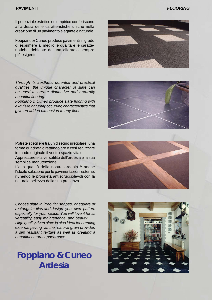#### **PAVIMENTI** *FLOORING*

Il potenziale estetico ed empirico conferiscono all'ardesia delle caratteristiche uniche nella creazione di un pavimento elegante e naturale.

Foppiano & Cuneo produce pavimenti in grado di esprimere al meglio le qualità e le caratteristiche richieste da una clientela sempre più esigente.

*Through its aesthetic potential and practical qualities the unique character of slate can be used to create distinctive and naturally beautiful flooring.*

*Foppiano & Cuneo produce slate flooring with exquisite naturally occurring characteristics that give an added dimension to any floor.*

Potrete scegliere tra un disegno irregolare, una forma quadrata o rettangolare e così realizzare in modo originale il vostro spazio vitale. Apprezzerete la versatilità dell'ardesia e la sua semplice manutenzione.

L'alta qualità della nostra ardesia è anche l'ideale soluzione per le pavimentazioni esterne, riunendo le proprietà antisdrucciolevoli con la naturale bellezza della sua presenza.

*Choose slate in irregular shapes, or square or rectangular tiles and design your own pattern especially for your space. You will love it for its versatility, easy maintenance, and beauty. High quality riven slate is also ideal for creating external paving as the natural grain provides a slip resistant texture as well as creating a beautiful natural appearance.*

## **Foppiano & Cuneo Ardesia**







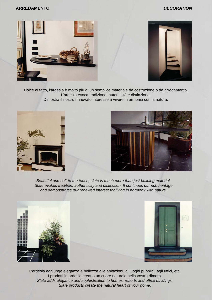#### **ARREDAMENTO** *DECORATION*





Dolce al tatto, l'ardesia è molto più di un semplice materiale da costruzione o da arredamento. L'ardesia evoca tradizione, autenticità e distinzione.

Dimostra il nostro rinnovato interesse a vivere in armonia con la natura.





*Beautiful and soft to the touch, slate is much more than just building material. Slate evokes tradition, authenticity and distinction. It continues our rich heritage and demonstrates our renewed interest for living in harmony with nature.*





L'ardesia aggiunge eleganza e bellezza alle abitazioni, ai luoghi pubblici, agli uffici, etc. I prodotti in ardesia creano un cuore naturale nella vostra dimora. *Slate adds elegance and sophistication to homes, resorts and office buildings. Slate products create the natural heart of your home.*